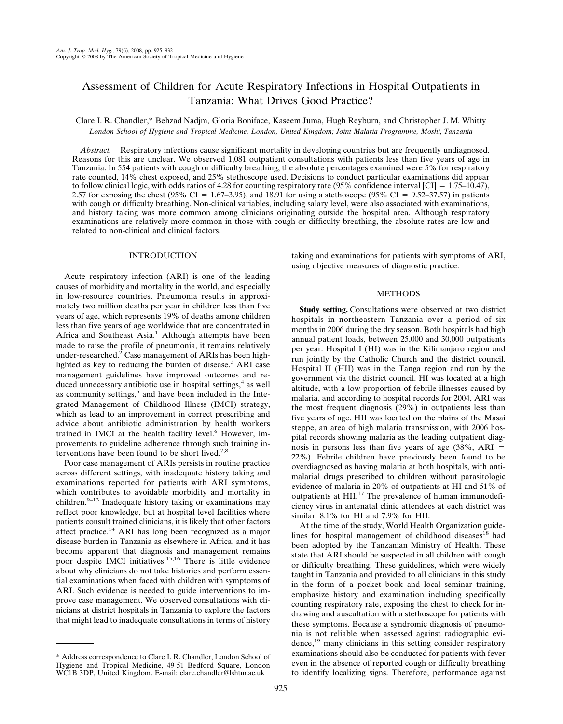# Assessment of Children for Acute Respiratory Infections in Hospital Outpatients in Tanzania: What Drives Good Practice?

Clare I. R. Chandler,\* Behzad Nadjm, Gloria Boniface, Kaseem Juma, Hugh Reyburn, and Christopher J. M. Whitty *London School of Hygiene and Tropical Medicine, London, United Kingdom; Joint Malaria Programme, Moshi, Tanzania*

*Abstract.* Respiratory infections cause significant mortality in developing countries but are frequently undiagnosed. Reasons for this are unclear. We observed 1,081 outpatient consultations with patients less than five years of age in Tanzania. In 554 patients with cough or difficulty breathing, the absolute percentages examined were 5% for respiratory rate counted, 14% chest exposed, and 25% stethoscope used. Decisions to conduct particular examinations did appear to follow clinical logic, with odds ratios of 4.28 for counting respiratory rate (95% confidence interval [CI] =  $1.75-10.47$ ), 2.57 for exposing the chest (95% CI = 1.67–3.95), and 18.91 for using a stethoscope (95% CI = 9.52–37.57) in patients with cough or difficulty breathing. Non-clinical variables, including salary level, were also associated with examinations, and history taking was more common among clinicians originating outside the hospital area. Although respiratory examinations are relatively more common in those with cough or difficulty breathing, the absolute rates are low and related to non-clinical and clinical factors.

# INTRODUCTION

Acute respiratory infection (ARI) is one of the leading causes of morbidity and mortality in the world, and especially in low-resource countries. Pneumonia results in approximately two million deaths per year in children less than five years of age, which represents 19% of deaths among children less than five years of age worldwide that are concentrated in Africa and Southeast Asia.<sup>1</sup> Although attempts have been made to raise the profile of pneumonia, it remains relatively under-researched.<sup>2</sup> Case management of ARIs has been highlighted as key to reducing the burden of disease.<sup>3</sup> ARI case management guidelines have improved outcomes and reduced unnecessary antibiotic use in hospital settings,<sup>4</sup> as well as community settings, $5$  and have been included in the Integrated Management of Childhood Illness (IMCI) strategy, which as lead to an improvement in correct prescribing and advice about antibiotic administration by health workers trained in IMCI at the health facility level.<sup>6</sup> However, improvements to guideline adherence through such training interventions have been found to be short lived.<sup>7,8</sup>

Poor case management of ARIs persists in routine practice across different settings, with inadequate history taking and examinations reported for patients with ARI symptoms, which contributes to avoidable morbidity and mortality in children. $9-13$  Inadequate history taking or examinations may reflect poor knowledge, but at hospital level facilities where patients consult trained clinicians, it is likely that other factors affect practice.<sup>14</sup> ARI has long been recognized as a major disease burden in Tanzania as elsewhere in Africa, and it has become apparent that diagnosis and management remains poor despite IMCI initiatives.<sup>15,16</sup> There is little evidence about why clinicians do not take histories and perform essential examinations when faced with children with symptoms of ARI. Such evidence is needed to guide interventions to improve case management. We observed consultations with clinicians at district hospitals in Tanzania to explore the factors that might lead to inadequate consultations in terms of history

\* Address correspondence to Clare I. R. Chandler, London School of Hygiene and Tropical Medicine, 49-51 Bedford Square, London WC1B 3DP, United Kingdom. E-mail: clare.chandler@lshtm.ac.uk

taking and examinations for patients with symptoms of ARI, using objective measures of diagnostic practice.

# **METHODS**

**Study setting.** Consultations were observed at two district hospitals in northeastern Tanzania over a period of six months in 2006 during the dry season. Both hospitals had high annual patient loads, between 25,000 and 30,000 outpatients per year. Hospital I (HI) was in the Kilimanjaro region and run jointly by the Catholic Church and the district council. Hospital II (HII) was in the Tanga region and run by the government via the district council. HI was located at a high altitude, with a low proportion of febrile illnesses caused by malaria, and according to hospital records for 2004, ARI was the most frequent diagnosis (29%) in outpatients less than five years of age. HII was located on the plains of the Masai steppe, an area of high malaria transmission, with 2006 hospital records showing malaria as the leading outpatient diagnosis in persons less than five years of age  $(38\%, \text{ ARI})$ 22%). Febrile children have previously been found to be overdiagnosed as having malaria at both hospitals, with antimalarial drugs prescribed to children without parasitologic evidence of malaria in 20% of outpatients at HI and 51% of outpatients at HII.<sup>17</sup> The prevalence of human immunodeficiency virus in antenatal clinic attendees at each district was similar: 8.1% for HI and 7.9% for HII.

At the time of the study, World Health Organization guidelines for hospital management of childhood diseases<sup>18</sup> had been adopted by the Tanzanian Ministry of Health. These state that ARI should be suspected in all children with cough or difficulty breathing. These guidelines, which were widely taught in Tanzania and provided to all clinicians in this study in the form of a pocket book and local seminar training, emphasize history and examination including specifically counting respiratory rate, exposing the chest to check for indrawing and auscultation with a stethoscope for patients with these symptoms. Because a syndromic diagnosis of pneumonia is not reliable when assessed against radiographic evidence, $19$  many clinicians in this setting consider respiratory examinations should also be conducted for patients with fever even in the absence of reported cough or difficulty breathing to identify localizing signs. Therefore, performance against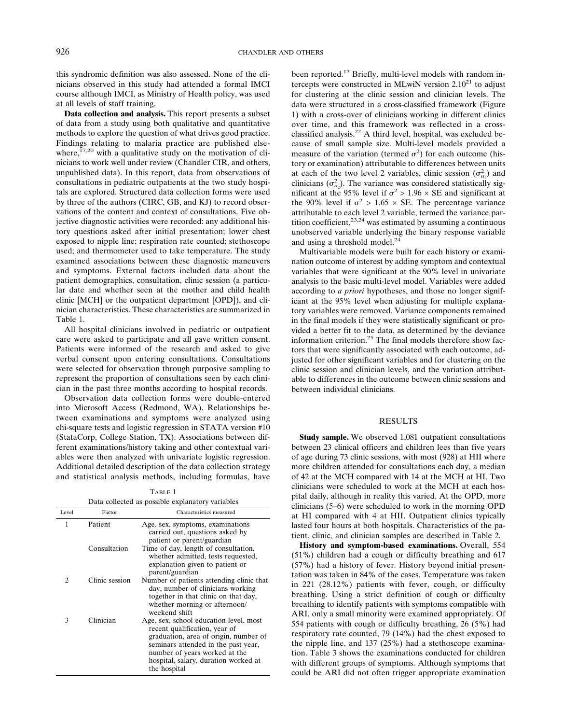this syndromic definition was also assessed. None of the clinicians observed in this study had attended a formal IMCI course although IMCI, as Ministry of Health policy, was used at all levels of staff training.

**Data collection and analysis.** This report presents a subset of data from a study using both qualitative and quantitative methods to explore the question of what drives good practice. Findings relating to malaria practice are published elsewhere, $17,20$  with a qualitative study on the motivation of clinicians to work well under review (Chandler CIR, and others, unpublished data). In this report, data from observations of consultations in pediatric outpatients at the two study hospitals are explored. Structured data collection forms were used by three of the authors (CIRC, GB, and KJ) to record observations of the content and context of consultations. Five objective diagnostic activities were recorded: any additional history questions asked after initial presentation; lower chest exposed to nipple line; respiration rate counted; stethoscope used; and thermometer used to take temperature. The study examined associations between these diagnostic maneuvers and symptoms. External factors included data about the patient demographics, consultation, clinic session (a particular date and whether seen at the mother and child health clinic [MCH] or the outpatient department [OPD]), and clinician characteristics. These characteristics are summarized in Table 1.

All hospital clinicians involved in pediatric or outpatient care were asked to participate and all gave written consent. Patients were informed of the research and asked to give verbal consent upon entering consultations. Consultations were selected for observation through purposive sampling to represent the proportion of consultations seen by each clinician in the past three months according to hospital records.

Observation data collection forms were double-entered into Microsoft Access (Redmond, WA). Relationships between examinations and symptoms were analyzed using chi-square tests and logistic regression in STATA version #10 (StataCorp, College Station, TX). Associations between different examinations/history taking and other contextual variables were then analyzed with univariate logistic regression. Additional detailed description of the data collection strategy and statistical analysis methods, including formulas, have

TABLE 1 Data collected as possible explanatory variables

| Level | Factor         | Characteristics measured                                                                                                                                                                                                                         |
|-------|----------------|--------------------------------------------------------------------------------------------------------------------------------------------------------------------------------------------------------------------------------------------------|
| 1     | Patient        | Age, sex, symptoms, examinations<br>carried out, questions asked by<br>patient or parent/guardian                                                                                                                                                |
|       | Consultation   | Time of day, length of consultation,<br>whether admitted, tests requested,<br>explanation given to patient or<br>parent/guardian                                                                                                                 |
| 2     | Clinic session | Number of patients attending clinic that<br>day, number of clinicians working<br>together in that clinic on that day,<br>whether morning or afternoon/<br>weekend shift                                                                          |
| 3     | Clinician      | Age, sex, school education level, most<br>recent qualification, year of<br>graduation, area of origin, number of<br>seminars attended in the past year,<br>number of years worked at the<br>hospital, salary, duration worked at<br>the hospital |

been reported.<sup>17</sup> Briefly, multi-level models with random intercepts were constructed in MLwiN version  $2.10^{21}$  to adjust for clustering at the clinic session and clinician levels. The data were structured in a cross-classified framework (Figure 1) with a cross-over of clinicians working in different clinics over time, and this framework was reflected in a crossclassified analysis.<sup>22</sup> A third level, hospital, was excluded because of small sample size. Multi-level models provided a measure of the variation (termed  $\sigma^2$ ) for each outcome (history or examination) attributable to differences between units at each of the two level 2 variables, clinic session  $(\sigma_{u_1}^2)$  and clinicians  $(\sigma_{u_2}^2)$ . The variance was considered statistically significant at the 95% level if  $\sigma^2 > 1.96 \times SE$  and significant at the 90% level if  $\sigma^2 > 1.65 \times$  SE. The percentage variance attributable to each level 2 variable, termed the variance partition coefficient, $2^{3,24}$  was estimated by assuming a continuous unobserved variable underlying the binary response variable and using a threshold model. $^{24}$ 

Multivariable models were built for each history or examination outcome of interest by adding symptom and contextual variables that were significant at the 90% level in univariate analysis to the basic multi-level model. Variables were added according to *a priori* hypotheses, and those no longer significant at the 95% level when adjusting for multiple explanatory variables were removed. Variance components remained in the final models if they were statistically significant or provided a better fit to the data, as determined by the deviance information criterion.<sup>25</sup> The final models therefore show factors that were significantly associated with each outcome, adjusted for other significant variables and for clustering on the clinic session and clinician levels, and the variation attributable to differences in the outcome between clinic sessions and between individual clinicians.

# RESULTS

**Study sample.** We observed 1,081 outpatient consultations between 23 clinical officers and children lees than five years of age during 73 clinic sessions, with most (928) at HII where more children attended for consultations each day, a median of 42 at the MCH compared with 14 at the MCH at HI. Two clinicians were scheduled to work at the MCH at each hospital daily, although in reality this varied. At the OPD, more clinicians (5–6) were scheduled to work in the morning OPD at HI compared with 4 at HII. Outpatient clinics typically lasted four hours at both hospitals. Characteristics of the patient, clinic, and clinician samples are described in Table 2.

**History and symptom-based examinations.** Overall, 554 (51%) children had a cough or difficulty breathing and 617 (57%) had a history of fever. History beyond initial presentation was taken in 84% of the cases. Temperature was taken in 221 (28.12%) patients with fever, cough, or difficulty breathing. Using a strict definition of cough or difficulty breathing to identify patients with symptoms compatible with ARI, only a small minority were examined appropriately. Of 554 patients with cough or difficulty breathing, 26 (5%) had respiratory rate counted, 79 (14%) had the chest exposed to the nipple line, and 137 (25%) had a stethoscope examination. Table 3 shows the examinations conducted for children with different groups of symptoms. Although symptoms that could be ARI did not often trigger appropriate examination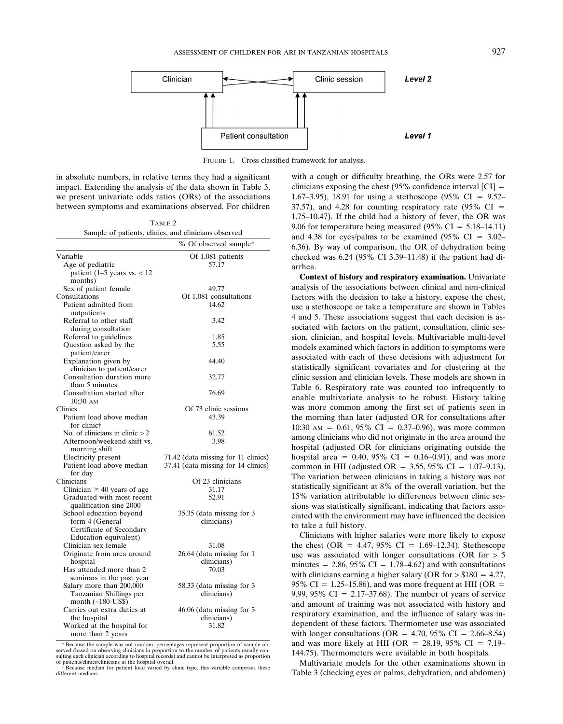

FIGURE 1. Cross-classified framework for analysis.

in absolute numbers, in relative terms they had a significant impact. Extending the analysis of the data shown in Table 3, we present univariate odds ratios (ORs) of the associations between symptoms and examinations observed. For children

| TABLE 2                                              |  |
|------------------------------------------------------|--|
| Sample of patients, clinics, and clinicians observed |  |

|                                              | % Of observed sample*               |
|----------------------------------------------|-------------------------------------|
| Variable                                     | Of 1,081 patients                   |
| Age of pediatric                             | 57.17                               |
| patient $(1-5$ years vs. $< 12$              |                                     |
| months)                                      |                                     |
| Sex of patient female                        | 49.77                               |
| Consultations                                | Of 1,081 consultations              |
| Patient admitted from                        | 14.62                               |
| outpatients                                  |                                     |
| Referral to other staff                      | 3.42                                |
| during consultation                          |                                     |
| Referral to guidelines                       | 1.85                                |
| Question asked by the                        | 5.55                                |
| patient/carer                                |                                     |
| Explanation given by                         | 44.40                               |
| clinician to patient/carer                   |                                     |
| Consultation duration more                   | 32.77                               |
| than 5 minutes                               |                                     |
| Consultation started after                   | 76.69                               |
| $10:30 \text{ AM}$                           |                                     |
| Clinics                                      | Of 73 clinic sessions               |
| Patient load above median<br>for clinic†     | 43.39                               |
| No. of clinicians in clinic $> 2$            | 61.52                               |
| Afternoon/weekend shift vs.<br>morning shift | 3.98                                |
| Electricity present                          | 71.42 (data missing for 11 clinics) |
| Patient load above median                    | 37.41 (data missing for 14 clinics) |
| for day                                      |                                     |
| Clinicians                                   | Of 23 clinicians                    |
| Clinician $\geq$ 40 years of age             | 31.17                               |
| Graduated with most recent                   | 52.91                               |
| qualification sine 2000                      |                                     |
| School education beyond                      | 35.35 (data missing for 3           |
| form 4 (General                              | clinicians)                         |
| Certificate of Secondary                     |                                     |
| Education equivalent)                        |                                     |
| Clinician sex female                         | 31.08                               |
| Originate from area around                   | 26.64 (data missing for 1           |
| hospital                                     | clinicians)                         |
| Has attended more than 2                     | 70.03                               |
| seminars in the past year                    |                                     |
| Salary more than 200,000                     | 58.33 (data missing for 3           |
| Tanzanian Shillings per                      | clinicians)                         |
| month (~180 US\$)                            |                                     |
| Carries out extra duties at                  | 46.06 (data missing for 3           |
| the hospital                                 | clinicians)                         |
| Worked at the hospital for                   | 31.82                               |
| more than 2 years                            |                                     |

\* Because the sample was not random, percentages represent proportion of sample ob-served (based on observing clinicians in proportion to the number of patients usually consulting each clinician according to hospital records) and cannot be interpreted as proportion of patients/clinics/clinicians at the hospital overall. with a cough or difficulty breathing, the ORs were 2.57 for clinicians exposing the chest (95% confidence interval  $\text{[CI]} =$ 1.67–3.95), 18.91 for using a stethoscope (95% CI =  $9.52-$ 37.57), and 4.28 for counting respiratory rate  $(95\% \text{ CI} =$ 1.75–10.47). If the child had a history of fever, the OR was 9.06 for temperature being measured (95% CI =  $5.18-14.11$ ) and 4.38 for eyes/palms to be examined (95%  $CI = 3.02-$ 6.36). By way of comparison, the OR of dehydration being checked was 6.24 (95% CI 3.39–11.48) if the patient had diarrhea.

**Context of history and respiratory examination.** Univariate analysis of the associations between clinical and non-clinical factors with the decision to take a history, expose the chest, use a stethoscope or take a temperature are shown in Tables 4 and 5. These associations suggest that each decision is associated with factors on the patient, consultation, clinic session, clinician, and hospital levels. Multivariable multi-level models examined which factors in addition to symptoms were associated with each of these decisions with adjustment for statistically significant covariates and for clustering at the clinic session and clinician levels. These models are shown in Table 6. Respiratory rate was counted too infrequently to enable multivariate analysis to be robust. History taking was more common among the first set of patients seen in the morning than later (adjusted OR for consultations after  $10:30 \text{ AM} = 0.61, 95\% \text{ CI} = 0.37{\text -}0.96$ , was more common among clinicians who did not originate in the area around the hospital (adjusted OR for clinicians originating outside the hospital area =  $0.40, 95\%$  CI =  $0.16-0.91$ ), and was more common in HII (adjusted OR = 3.55, 95% CI = 1.07–9.13). The variation between clinicians in taking a history was not statistically significant at 8% of the overall variation, but the 15% variation attributable to differences between clinic sessions was statistically significant, indicating that factors associated with the environment may have influenced the decision to take a full history.

Clinicians with higher salaries were more likely to expose the chest (OR = 4.47, 95% CI = 1.69–12.34). Stethoscope use was associated with longer consultations (OR for  $> 5$ minutes  $= 2.86, 95\% \text{ CI} = 1.78 - 4.62$  and with consultations with clinicians earning a higher salary (OR for  $> $180 = 4.27$ , 95% CI = 1.25–15.86), and was more frequent at HII (OR = 9.99, 95% CI =  $2.17-37.68$ ). The number of years of service and amount of training was not associated with history and respiratory examination, and the influence of salary was independent of these factors. Thermometer use was associated with longer consultations (OR =  $4.70,95\%$  CI =  $2.66-8.54$ ) and was more likely at HII (OR = 28.19, 95% CI = 7.19– 144.75). Thermometers were available in both hospitals.

Multivariate models for the other examinations shown in Table 3 (checking eyes or palms, dehydration, and abdomen)

<sup>†</sup> Because median for patient load varied by clinic type, this variable comprises these different medians.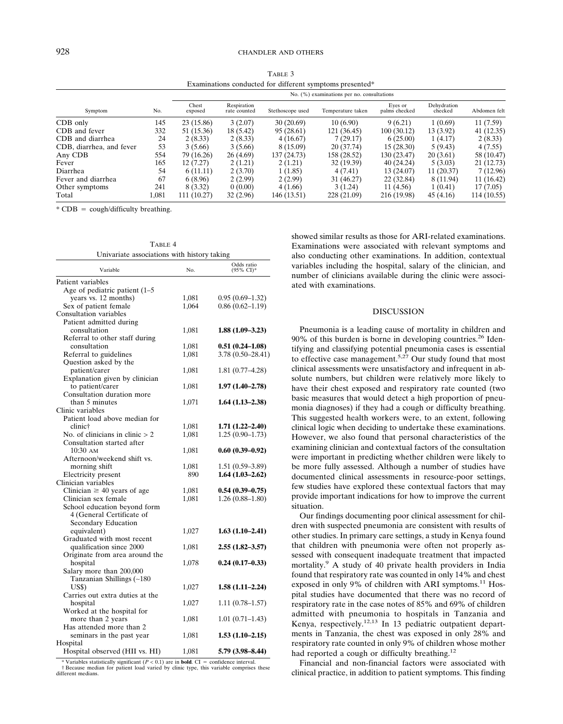TABLE 3 Examinations conducted for different symptoms presented\*

|                          | No. (%) examinations per no. consultations |                  |                             |                  |                   |                          |                        |              |
|--------------------------|--------------------------------------------|------------------|-----------------------------|------------------|-------------------|--------------------------|------------------------|--------------|
| Symptom                  | No.                                        | Chest<br>exposed | Respiration<br>rate counted | Stethoscope used | Temperature taken | Eyes or<br>palms checked | Dehydration<br>checked | Abdomen felt |
| CDB only                 | 145                                        | 23 (15.86)       | 3(2.07)                     | 30(20.69)        | 10(6.90)          | 9(6.21)                  | 1(0.69)                | 11(7.59)     |
| CDB and fever            | 332                                        | 51 (15.36)       | 18 (5.42)                   | 95 (28.61)       | 121 (36.45)       | 100(30.12)               | 13 (3.92)              | 41(12.35)    |
| CDB and diarrhea         | 24                                         | 2(8.33)          | 2(8.33)                     | 4(16.67)         | 7(29.17)          | 6(25.00)                 | 1 (4.17)               | 2(8.33)      |
| CDB, diarrhea, and fever | 53                                         | 3(5.66)          | 3(5.66)                     | 8 (15.09)        | 20 (37.74)        | 15 (28.30)               | 5(9.43)                | 4(7.55)      |
| Any CDB                  | 554                                        | 79 (16.26)       | 26(4.69)                    | 137 (24.73)      | 158 (28.52)       | 130 (23.47)              | 20(3.61)               | 58 (10.47)   |
| Fever                    | 165                                        | 12(7.27)         | 2(1.21)                     | 2(1.21)          | 32 (19.39)        | 40(24.24)                | 5(3.03)                | 21(12.73)    |
| Diarrhea                 | 54                                         | 6(11.11)         | 2(3.70)                     | 1 (1.85)         | 4(7.41)           | 13 (24.07)               | 11 (20.37)             | 7(12.96)     |
| Fever and diarrhea       | 67                                         | 6(8.96)          | 2(2.99)                     | 2(2.99)          | 31 (46.27)        | 22 (32.84)               | 8 (11.94)              | 11(16.42)    |
| Other symptoms           | 241                                        | 8 (3.32)         | 0(0.00)                     | 4(1.66)          | 3(1.24)           | 11 (4.56)                | 1(0.41)                | 17(7.05)     |
| Total                    | 1.081                                      | 111 (10.27)      | 32(2.96)                    | 146 (13.51)      | 228 (21.09)       | 216 (19.98)              | 45(4.16)               | 114 (10.55)  |

\*  $CDB = \text{cough/diff}$  breathing.

TABLE 4 Univariate associations with history taking

| Variable                          | No.   | Odds ratio<br>(95% CI)* |
|-----------------------------------|-------|-------------------------|
| Patient variables                 |       |                         |
| Age of pediatric patient $(1-5)$  |       |                         |
| years vs. 12 months)              | 1,081 | $0.95(0.69-1.32)$       |
| Sex of patient female             | 1,064 | $0.86(0.62 - 1.19)$     |
| Consultation variables            |       |                         |
| Patient admitted during           |       |                         |
| consultation                      | 1,081 | $1.88(1.09-3.23)$       |
| Referral to other staff during    |       |                         |
| consultation                      | 1,081 | $0.51(0.24 - 1.08)$     |
| Referral to guidelines            | 1,081 | $3.78(0.50-28.41)$      |
| Question asked by the             |       |                         |
| patient/carer                     | 1,081 | $1.81(0.77-4.28)$       |
| Explanation given by clinician    |       |                         |
| to patient/carer                  | 1,081 | $1.97(1.40-2.78)$       |
| Consultation duration more        |       |                         |
| than 5 minutes                    | 1,071 | $1.64(1.13-2.38)$       |
| Clinic variables                  |       |                         |
|                                   |       |                         |
| Patient load above median for     |       |                         |
| clinic†                           | 1,081 | $1.71(1.22 - 2.40)$     |
| No. of clinicians in clinic $> 2$ | 1,081 | $1.25(0.90-1.73)$       |
| Consultation started after        |       |                         |
| $10:30$ AM                        | 1,081 | $0.60(0.39-0.92)$       |
| Afternoon/weekend shift vs.       |       |                         |
| morning shift                     | 1,081 | $1.51(0.59-3.89)$       |
| Electricity present               | 890   | $1.64(1.03-2.62)$       |
| Clinician variables               |       |                         |
| Clinician $\geq$ 40 years of age  | 1,081 | $0.54(0.39-0.75)$       |
| Clinician sex female              | 1,081 | $1.26(0.88-1.80)$       |
| School education beyond form      |       |                         |
| 4 (General Certificate of         |       |                         |
| Secondary Education               |       |                         |
| equivalent)                       | 1,027 | $1.63(1.10-2.41)$       |
| Graduated with most recent        |       |                         |
| qualification since 2000          | 1,081 | $2.55(1.82 - 3.57)$     |
| Originate from area around the    |       |                         |
| hospital                          | 1,078 | $0.24(0.17-0.33)$       |
| Salary more than 200,000          |       |                         |
| Tanzanian Shillings (~180         |       |                         |
| US\$)                             | 1,027 | $1.58(1.11-2.24)$       |
| Carries out extra duties at the   |       |                         |
| hospital                          | 1,027 | $1.11(0.78-1.57)$       |
| Worked at the hospital for        |       |                         |
| more than 2 years                 | 1,081 | $1.01(0.71 - 1.43)$     |
| Has attended more than 2          |       |                         |
| seminars in the past year         | 1,081 | $1.53(1.10-2.15)$       |
| Hospital                          |       |                         |
| Hospital observed (HII vs. HI)    | 1,081 | 5.79 (3.98-8.44)        |

 $*$  Variables statistically significant ( $P < 0.1$ ) are in **bold**. CI = confidence interval.<br>† Because median for patient load varied by clinic type, this variable comprises these different medians.

showed similar results as those for ARI-related examinations. Examinations were associated with relevant symptoms and also conducting other examinations. In addition, contextual variables including the hospital, salary of the clinician, and number of clinicians available during the clinic were associated with examinations.

### DISCUSSION

Pneumonia is a leading cause of mortality in children and 90% of this burden is borne in developing countries.<sup>26</sup> Identifying and classifying potential pneumonia cases is essential to effective case management.<sup>5,27</sup> Our study found that most clinical assessments were unsatisfactory and infrequent in absolute numbers, but children were relatively more likely to have their chest exposed and respiratory rate counted (two basic measures that would detect a high proportion of pneumonia diagnoses) if they had a cough or difficulty breathing. This suggested health workers were, to an extent, following clinical logic when deciding to undertake these examinations. However, we also found that personal characteristics of the examining clinician and contextual factors of the consultation were important in predicting whether children were likely to be more fully assessed. Although a number of studies have documented clinical assessments in resource-poor settings, few studies have explored these contextual factors that may provide important indications for how to improve the current situation.

Our findings documenting poor clinical assessment for children with suspected pneumonia are consistent with results of other studies. In primary care settings, a study in Kenya found that children with pneumonia were often not properly assessed with consequent inadequate treatment that impacted mortality.9 A study of 40 private health providers in India found that respiratory rate was counted in only 14% and chest exposed in only 9% of children with ARI symptoms. $^{11}$  Hospital studies have documented that there was no record of respiratory rate in the case notes of 85% and 69% of children admitted with pneumonia to hospitals in Tanzania and Kenya, respectively.<sup>12,13</sup> In 13 pediatric outpatient departments in Tanzania, the chest was exposed in only 28% and respiratory rate counted in only 9% of children whose mother had reported a cough or difficulty breathing.<sup>12</sup>

Financial and non-financial factors were associated with clinical practice, in addition to patient symptoms. This finding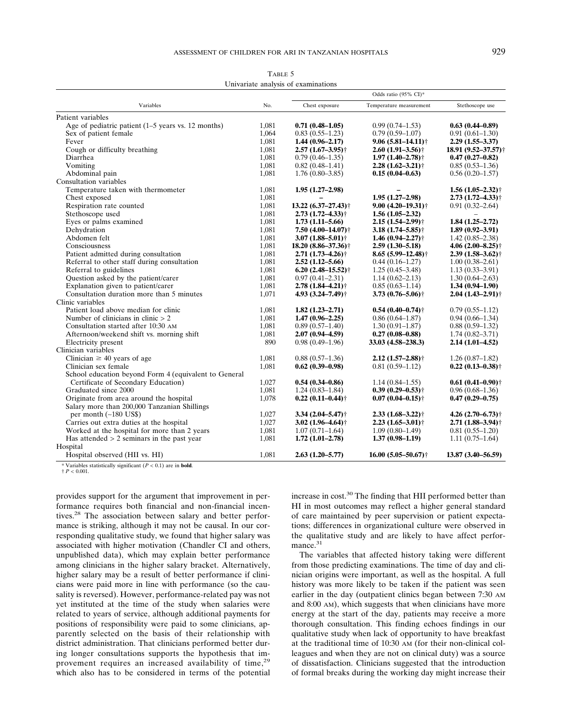|                                                       |       | Odds ratio $(95\% \text{ CI})^*$   |                                   |                                   |  |
|-------------------------------------------------------|-------|------------------------------------|-----------------------------------|-----------------------------------|--|
| Variables                                             | No.   | Chest exposure                     | Temperature measurement           | Stethoscope use                   |  |
| Patient variables                                     |       |                                    |                                   |                                   |  |
| Age of pediatric patient $(1-5$ years vs. 12 months)  | 1,081 | $0.71(0.48-1.05)$                  | $0.99(0.74 - 1.53)$               | $0.63(0.44 - 0.89)$               |  |
| Sex of patient female                                 | 1.064 | $0.83(0.55-1.23)$                  | $0.79(0.59-1.07)$                 | $0.91(0.61-1.30)$                 |  |
| Fever                                                 | 1,081 | $1.44(0.96-2.17)$                  | $9.06(5.81 - 14.11)$ <sup>+</sup> | $2.29(1.55 - 3.37)$               |  |
| Cough or difficulty breathing                         | 1,081 | $2.57(1.67-3.95)$ <sup>†</sup>     | $2.60(1.91-3.56)$ †               | 18.91 (9.52–37.57) †              |  |
| Diarrhea                                              | 1,081 | $0.79(0.46-1.35)$                  | $1.97(1.40 - 2.78)$ <sup>†</sup>  | $0.47(0.27-0.82)$                 |  |
| Vomiting                                              | 1,081 | $0.82(0.48-1.41)$                  | $2.28(1.62 - 3.21)$ †             | $0.85(0.53-1.36)$                 |  |
| Abdominal pain                                        | 1,081 | $1.76(0.80-3.85)$                  | $0.15(0.04 - 0.63)$               | $0.56(0.20-1.57)$                 |  |
| Consultation variables                                |       |                                    |                                   |                                   |  |
| Temperature taken with thermometer                    | 1,081 | $1.95(1.27-2.98)$                  |                                   | $1.56(1.05-2.32)$ †               |  |
| Chest exposed                                         | 1,081 |                                    | $1.95(1.27-2.98)$                 | $2.73(1.72 - 4.33)$               |  |
| Respiration rate counted                              | 1,081 | $13.22(6.37-27.43)$ <sup>+</sup>   | $9.00(4.20 - 19.31)$ <sup>+</sup> | $0.91(0.32 - 2.64)$               |  |
| Stethoscope used                                      | 1,081 | $2.73(1.72 - 4.33)$ <sup>†</sup>   | $1.56(1.05-2.32)$                 |                                   |  |
| Eyes or palms examined                                | 1,081 | $1.73(1.11 - 5.66)$                | $2.15(1.54 - 2.99)$ <sup>+</sup>  | $1.84(1.25-2.72)$                 |  |
| Dehydration                                           | 1,081 | 7.50 $(4.00-14.07)$ <sup>†</sup>   | $3.18(1.74 - 5.85)$ <sup>†</sup>  | $1.89(0.92 - 3.91)$               |  |
| Abdomen felt                                          | 1,081 | 3.07 $(1.88 - 5.01)^+$             | $1.46(0.94 - 2.27)$               | $1.42(0.85-2.38)$                 |  |
| Consciousness                                         | 1,081 | $18.20(8.86 - 37.36)$ <sup>†</sup> | $2.59(1.30 - 5.18)$               | 4.06 $(2.00 - 8.25)$ <sup>†</sup> |  |
| Patient admitted during consultation                  | 1,081 | $2.71(1.73 - 4.26)$ <sup>+</sup>   | $8.65(5.99 - 12.48)$ <sup>†</sup> | $2.39(1.58-3.62)$ †               |  |
| Referral to other staff during consultation           | 1,081 | $2.52(1.12 - 5.66)$                | $0.44(0.16-1.27)$                 | $1.00(0.38 - 2.61)$               |  |
| Referral to guidelines                                | 1,081 | $6.20(2.48-15.52)$ <sup>†</sup>    | $1.25(0.45-3.48)$                 | $1.13(0.33 - 3.91)$               |  |
| Question asked by the patient/carer                   | 1,081 | $0.97(0.41 - 2.31)$                | $1.14(0.62 - 2.13)$               | $1.30(0.64 - 2.63)$               |  |
| Explanation given to patient/carer                    | 1,081 | $2.78(1.84 - 4.21)$ <sup>†</sup>   | $0.85(0.63-1.14)$                 | $1.34(0.94 - 1.90)$               |  |
| Consultation duration more than 5 minutes             | 1,071 | 4.93 (3.24-7.49) <sup>†</sup>      | $3.73(0.76 - 5.06)$ <sup>+</sup>  | $2.04(1.43 - 2.91)$ †             |  |
| Clinic variables                                      |       |                                    |                                   |                                   |  |
| Patient load above median for clinic                  | 1,081 | $1.82(1.23 - 2.71)$                | $0.54(0.40-0.74)$ <sup>+</sup>    | $0.79(0.55 - 1.12)$               |  |
| Number of clinicians in clinic $> 2$                  | 1,081 | $1.47(0.96 - 2.25)$                | $0.86(0.64 - 1.87)$               | $0.94(0.66 - 1.34)$               |  |
| Consultation started after 10:30 AM                   | 1,081 | $0.89(0.57-1.40)$                  | $1.30(0.91 - 1.87)$               | $0.88(0.59-1.32)$                 |  |
| Afternoon/weekend shift vs. morning shift             | 1,081 | $2.07(0.94 - 4.59)$                | $0.27(0.08 - 0.88)$               | $1.74(0.82 - 3.71)$               |  |
| Electricity present                                   | 890   | $0.98(0.49-1.96)$                  | $33.03(4.58-238.3)$               | $2.14(1.01-4.52)$                 |  |
| Clinician variables                                   |       |                                    |                                   |                                   |  |
| Clinician $\geq 40$ years of age                      | 1,081 | $0.88(0.57-1.36)$                  | $2.12(1.57-2.88)$ <sup>†</sup>    | $1.26(0.87-1.82)$                 |  |
| Clinician sex female                                  | 1,081 | $0.62(0.39-0.98)$                  | $0.81(0.59-1.12)$                 | $0.22(0.13 - 0.38)$ <sup>†</sup>  |  |
| School education beyond Form 4 (equivalent to General |       |                                    |                                   |                                   |  |
| Certificate of Secondary Education)                   | 1,027 | $0.54(0.34 - 0.86)$                | $1.14(0.84 - 1.55)$               | $0.61(0.41 - 0.90)$ <sup>+</sup>  |  |
| Graduated since 2000                                  | 1,081 | $1.24(0.83 - 1.84)$                | $0.39(0.29 - 0.53)$ †             | $0.96(0.68-1.36)$                 |  |
| Originate from area around the hospital               | 1,078 | $0.22(0.11 - 0.44)$ <sup>†</sup>   | $0.07(0.04 - 0.15)$ <sup>+</sup>  | $0.47(0.29 - 0.75)$               |  |
| Salary more than 200,000 Tanzanian Shillings          |       |                                    |                                   |                                   |  |
| per month $(-180 \text{ US})$                         | 1,027 | $3.34(2.04 - 5.47)$                | $2.33(1.68 - 3.22)$ †             | $4.26(2.70-6.73)$ <sup>+</sup>    |  |
| Carries out extra duties at the hospital              | 1,027 | $3.02(1.96-4.64)$ <sup>†</sup>     | $2.23(1.65-3.01)$ †               | $2.71(1.88 - 3.94)$ †             |  |
| Worked at the hospital for more than 2 years          | 1,081 | $1.07(0.71-1.64)$                  | $1.09(0.80-1.49)$                 | $0.81(0.55-1.20)$                 |  |
| Has attended $> 2$ seminars in the past year          | 1,081 | $1.72(1.01-2.78)$                  | $1.37(0.98 - 1.19)$               | $1.11(0.75-1.64)$                 |  |
| Hospital                                              |       |                                    |                                   |                                   |  |
|                                                       |       |                                    |                                   |                                   |  |

Hospital observed (HII vs. HI) 1,081 **2.63 (1.20–5.77) 16.00 (5.05–50.67)**† **13.87 (3.40–56.59)**

TABLE 5 Univariate analysis of examinations

\* Variables statistically significant (*P* < 0.1) are in **bold**.

 $\pm P < 0.001$ 

provides support for the argument that improvement in performance requires both financial and non-financial incentives.<sup>28</sup> The association between salary and better performance is striking, although it may not be causal. In our corresponding qualitative study, we found that higher salary was associated with higher motivation (Chandler CI and others, unpublished data), which may explain better performance among clinicians in the higher salary bracket. Alternatively, higher salary may be a result of better performance if clinicians were paid more in line with performance (so the causality is reversed). However, performance-related pay was not yet instituted at the time of the study when salaries were related to years of service, although additional payments for positions of responsibility were paid to some clinicians, apparently selected on the basis of their relationship with district administration. That clinicians performed better during longer consultations supports the hypothesis that improvement requires an increased availability of time,  $29$ which also has to be considered in terms of the potential increase in cost.<sup>30</sup> The finding that HII performed better than HI in most outcomes may reflect a higher general standard of care maintained by peer supervision or patient expectations; differences in organizational culture were observed in the qualitative study and are likely to have affect performance.<sup>31</sup>

The variables that affected history taking were different from those predicting examinations. The time of day and clinician origins were important, as well as the hospital. A full history was more likely to be taken if the patient was seen earlier in the day (outpatient clinics began between 7:30 AM and 8:00 AM), which suggests that when clinicians have more energy at the start of the day, patients may receive a more thorough consultation. This finding echoes findings in our qualitative study when lack of opportunity to have breakfast at the traditional time of 10:30 AM (for their non-clinical colleagues and when they are not on clinical duty) was a source of dissatisfaction. Clinicians suggested that the introduction of formal breaks during the working day might increase their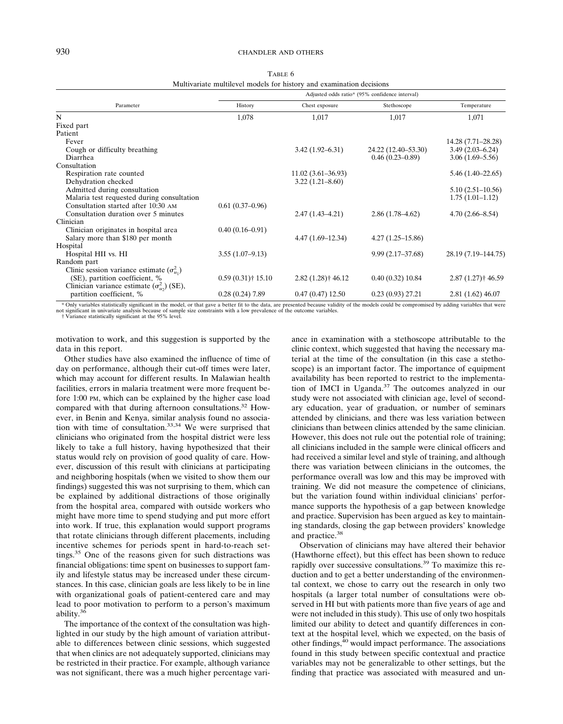TABLE 6 Multivariate multilevel models for history and examination decisions

|                                                      | Adjusted odds ratio* (95% confidence interval) |                      |                      |                      |  |  |
|------------------------------------------------------|------------------------------------------------|----------------------|----------------------|----------------------|--|--|
| Parameter                                            | History                                        | Chest exposure       | Stethoscope          | Temperature          |  |  |
| N                                                    | 1,078                                          | 1,017                | 1,017                | 1,071                |  |  |
| Fixed part                                           |                                                |                      |                      |                      |  |  |
| Patient                                              |                                                |                      |                      |                      |  |  |
| Fever                                                |                                                |                      |                      | 14.28 (7.71–28.28)   |  |  |
| Cough or difficulty breathing                        |                                                | $3.42(1.92 - 6.31)$  | 24.22 (12.40–53.30)  | $3.49(2.03 - 6.24)$  |  |  |
| Diarrhea                                             |                                                |                      | $0.46(0.23 - 0.89)$  | $3.06(1.69 - 5.56)$  |  |  |
| Consultation                                         |                                                |                      |                      |                      |  |  |
| Respiration rate counted                             |                                                | $11.02(3.61-36.93)$  |                      | $5.46(1.40-22.65)$   |  |  |
| Dehydration checked                                  |                                                | $3.22(1.21 - 8.60)$  |                      |                      |  |  |
| Admitted during consultation                         |                                                |                      |                      | $5.10(2.51 - 10.56)$ |  |  |
| Malaria test requested during consultation           |                                                |                      |                      | $1.75(1.01-1.12)$    |  |  |
| Consultation started after 10:30 AM                  | $0.61(0.37-0.96)$                              |                      |                      |                      |  |  |
| Consultation duration over 5 minutes                 |                                                | $2.47(1.43 - 4.21)$  | $2.86(1.78-4.62)$    | $4.70(2.66 - 8.54)$  |  |  |
| Clinician                                            |                                                |                      |                      |                      |  |  |
| Clinician originates in hospital area                | $0.40(0.16 - 0.91)$                            |                      |                      |                      |  |  |
| Salary more than \$180 per month                     |                                                | $4.47(1.69-12.34)$   | $4.27(1.25-15.86)$   |                      |  |  |
| Hospital                                             |                                                |                      |                      |                      |  |  |
| Hospital HII vs. HI                                  | $3.55(1.07-9.13)$                              |                      | $9.99(2.17 - 37.68)$ | 28.19 (7.19–144.75)  |  |  |
| Random part                                          |                                                |                      |                      |                      |  |  |
| Clinic session variance estimate $(\sigma_w^2)$      |                                                |                      |                      |                      |  |  |
| (SE), partition coefficient, %                       | $0.59(0.31)$ † 15.10                           | $2.82(1.28)$ † 46.12 | 0.40(0.32)10.84      | $2.87(1.27)$ † 46.59 |  |  |
| Clinician variance estimate $(\sigma_{u_2}^2)$ (SE), |                                                |                      |                      |                      |  |  |
| partition coefficient, %                             | $0.28(0.24)$ 7.89                              | 0.47(0.47)12.50      | 0.23(0.93)27.21      | 2.81 (1.62) 46.07    |  |  |

\* Only variables statistically significant in the model, or that gave a better fit to the data, are presented because validity of the models could be compromised by adding variables that were<br>not significant in univariate

† Variance statistically significant at the 95% level.

motivation to work, and this suggestion is supported by the data in this report.

Other studies have also examined the influence of time of day on performance, although their cut-off times were later, which may account for different results. In Malawian health facilities, errors in malaria treatment were more frequent before 1:00 PM, which can be explained by the higher case load compared with that during afternoon consultations.<sup>32</sup> However, in Benin and Kenya, similar analysis found no association with time of consultation.33,34 We were surprised that clinicians who originated from the hospital district were less likely to take a full history, having hypothesized that their status would rely on provision of good quality of care. However, discussion of this result with clinicians at participating and neighboring hospitals (when we visited to show them our findings) suggested this was not surprising to them, which can be explained by additional distractions of those originally from the hospital area, compared with outside workers who might have more time to spend studying and put more effort into work. If true, this explanation would support programs that rotate clinicians through different placements, including incentive schemes for periods spent in hard-to-reach settings.35 One of the reasons given for such distractions was financial obligations: time spent on businesses to support family and lifestyle status may be increased under these circumstances. In this case, clinician goals are less likely to be in line with organizational goals of patient-centered care and may lead to poor motivation to perform to a person's maximum ability. $3\overline{6}$ 

The importance of the context of the consultation was highlighted in our study by the high amount of variation attributable to differences between clinic sessions, which suggested that when clinics are not adequately supported, clinicians may be restricted in their practice. For example, although variance was not significant, there was a much higher percentage vari-

ance in examination with a stethoscope attributable to the clinic context, which suggested that having the necessary material at the time of the consultation (in this case a stethoscope) is an important factor. The importance of equipment availability has been reported to restrict to the implementation of IMCI in Uganda.<sup>37</sup> The outcomes analyzed in our study were not associated with clinician age, level of secondary education, year of graduation, or number of seminars attended by clinicians, and there was less variation between clinicians than between clinics attended by the same clinician. However, this does not rule out the potential role of training; all clinicians included in the sample were clinical officers and had received a similar level and style of training, and although there was variation between clinicians in the outcomes, the performance overall was low and this may be improved with training. We did not measure the competence of clinicians, but the variation found within individual clinicians' performance supports the hypothesis of a gap between knowledge and practice. Supervision has been argued as key to maintaining standards, closing the gap between providers' knowledge and practice.<sup>38</sup>

Observation of clinicians may have altered their behavior (Hawthorne effect), but this effect has been shown to reduce rapidly over successive consultations.<sup>39</sup> To maximize this reduction and to get a better understanding of the environmental context, we chose to carry out the research in only two hospitals (a larger total number of consultations were observed in HI but with patients more than five years of age and were not included in this study). This use of only two hospitals limited our ability to detect and quantify differences in context at the hospital level, which we expected, on the basis of other findings,<sup>40</sup> would impact performance. The associations found in this study between specific contextual and practice variables may not be generalizable to other settings, but the finding that practice was associated with measured and un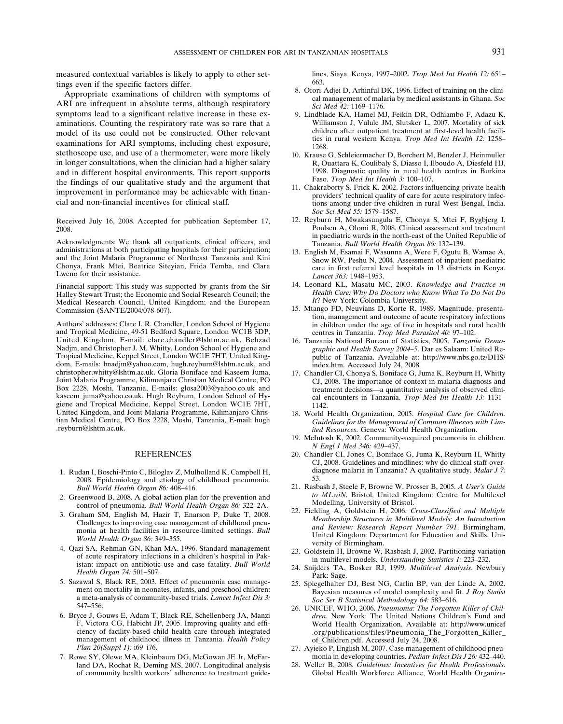measured contextual variables is likely to apply to other settings even if the specific factors differ.

Appropriate examinations of children with symptoms of ARI are infrequent in absolute terms, although respiratory symptoms lead to a significant relative increase in these examinations. Counting the respiratory rate was so rare that a model of its use could not be constructed. Other relevant examinations for ARI symptoms, including chest exposure, stethoscope use, and use of a thermometer, were more likely in longer consultations, when the clinician had a higher salary and in different hospital environments. This report supports the findings of our qualitative study and the argument that improvement in performance may be achievable with financial and non-financial incentives for clinical staff.

Received July 16, 2008. Accepted for publication September 17, 2008.

Acknowledgments: We thank all outpatients, clinical officers, and administrations at both participating hospitals for their participation; and the Joint Malaria Programme of Northeast Tanzania and Kini Chonya, Frank Mtei, Beatrice Siteyian, Frida Temba, and Clara Lweno for their assistance.

Financial support: This study was supported by grants from the Sir Halley Stewart Trust; the Economic and Social Research Council; the Medical Research Council, United Kingdom; and the European Commission (SANTE/2004/078-607).

Authors' addresses: Clare I. R. Chandler, London School of Hygiene and Tropical Medicine, 49-51 Bedford Square, London WC1B 3DP, United Kingdom, E-mail: clare.chandler@lshtm.ac.uk. Behzad Nadjm, and Christopher J. M. Whitty, London School of Hygiene and Tropical Medicine, Keppel Street, London WC1E 7HT, United Kingdom, E-mails: bnadjm@yahoo.com, hugh.reyburn@lshtm.ac.uk, and christopher.whitty@lshtm.ac.uk. Gloria Boniface and Kaseem Juma, Joint Malaria Programme, Kilimanjaro Christian Medical Centre, PO Box 2228, Moshi, Tanzania, E-mails: glosa2003@yahoo.co.uk and kaseem\_juma@yahoo.co.uk. Hugh Reyburn, London School of Hygiene and Tropical Medicine, Keppel Street, London WC1E 7HT, United Kingdom, and Joint Malaria Programme, Kilimanjaro Christian Medical Centre, PO Box 2228, Moshi, Tanzania, E-mail: hugh .reyburn@lshtm.ac.uk.

#### REFERENCES

- 1. Rudan I, Boschi-Pinto C, Biloglav Z, Mulholland K, Campbell H, 2008. Epidemiology and etiology of childhood pneumonia. *Bull World Health Organ 86:* 408–416.
- 2. Greenwood B, 2008. A global action plan for the prevention and control of pneumonia. *Bull World Health Organ 86:* 322–2A.
- 3. Graham SM, English M, Hazir T, Enarson P, Duke T, 2008. Challenges to improving case management of childhood pneumonia at health facilities in resource-limited settings. *Bull World Health Organ 86:* 349–355.
- 4. Qazi SA, Rehman GN, Khan MA, 1996. Standard management of acute respiratory infections in a children's hospital in Pakistan: impact on antibiotic use and case fatality. *Bull World Health Organ 74:* 501–507.
- 5. Sazawal S, Black RE, 2003. Effect of pneumonia case management on mortality in neonates, infants, and preschool children: a meta-analysis of community-based trials. *Lancet Infect Dis 3:* 547–556.
- 6. Bryce J, Gouws E, Adam T, Black RE, Schellenberg JA, Manzi F, Victora CG, Habicht JP, 2005. Improving quality and efficiency of facility-based child health care through integrated management of childhood illness in Tanzania. *Health Policy Plan 20(Suppl 1):* i69–i76.
- 7. Rowe SY, Olewe MA, Kleinbaum DG, McGowan JE Jr, McFarland DA, Rochat R, Deming MS, 2007. Longitudinal analysis of community health workers' adherence to treatment guide-

lines, Siaya, Kenya, 1997–2002. *Trop Med Int Health 12:* 651– 663.

- 8. Ofori-Adjei D, Arhinful DK, 1996. Effect of training on the clinical management of malaria by medical assistants in Ghana. *Soc Sci Med 42:* 1169–1176.
- 9. Lindblade KA, Hamel MJ, Feikin DR, Odhiambo F, Adazu K, Williamson J, Vulule JM, Slutsker L, 2007. Mortality of sick children after outpatient treatment at first-level health facilities in rural western Kenya. *Trop Med Int Health 12:* 1258– 1268.
- 10. Krause G, Schleiermacher D, Borchert M, Benzler J, Heinmuller R, Ouattara K, Coulibaly S, Diasso I, Ilboudo A, Diesfeld HJ, 1998. Diagnostic quality in rural health centres in Burkina Faso. *Trop Med Int Health 3:* 100–107.
- 11. Chakraborty S, Frick K, 2002. Factors influencing private health providers' technical quality of care for acute respiratory infections among under-five children in rural West Bengal, India. *Soc Sci Med 55:* 1579–1587.
- 12. Reyburn H, Mwakasungula E, Chonya S, Mtei F, Bygbjerg I, Poulsen A, Olomi R, 2008. Clinical assessment and treatment in paediatric wards in the north-east of the United Republic of Tanzania. *Bull World Health Organ 86:* 132–139.
- 13. English M, Esamai F, Wasunna A, Were F, Ogutu B, Wamae A, Snow RW, Peshu N, 2004. Assessment of inpatient paediatric care in first referral level hospitals in 13 districts in Kenya. *Lancet 363:* 1948–1953.
- 14. Leonard KL, Masatu MC, 2003. *Knowledge and Practice in Health Care: Why Do Doctors who Know What To Do Not Do It*? New York: Colombia University.
- 15. Mtango FD, Neuvians D, Korte R, 1989. Magnitude, presentation, management and outcome of acute respiratory infections in children under the age of five in hospitals and rural health centres in Tanzania. *Trop Med Parasitol 40:* 97–102.
- 16. Tanzania National Bureau of Statistics, 2005. *Tanzania Demographic and Health Survey 2004–5*. Dar es Salaam: United Republic of Tanzania. Available at: http://www.nbs.go.tz/DHS/ index.htm. Accessed July 24, 2008.
- 17. Chandler CI, Chonya S, Boniface G, Juma K, Reyburn H, Whitty CJ, 2008. The importance of context in malaria diagnosis and treatment decisions—a quantitative analysis of observed clinical encounters in Tanzania. *Trop Med Int Health 13:* 1131– 1142.
- 18. World Health Organization, 2005. *Hospital Care for Children. Guidelines for the Management of Common Illnesses with Limited Resources*. Geneva: World Health Organization.
- 19. McIntosh K, 2002. Community-acquired pneumonia in children. *N Engl J Med 346:* 429–437.
- 20. Chandler CI, Jones C, Boniface G, Juma K, Reyburn H, Whitty CJ, 2008. Guidelines and mindlines: why do clinical staff overdiagnose malaria in Tanzania? A qualitative study. *Malar J 7:* 53.
- 21. Rasbash J, Steele F, Browne W, Prosser B, 2005. *A User's Guide to MLwiN*. Bristol, United Kingdom: Centre for Multilevel Modelling, University of Bristol.
- 22. Fielding A, Goldstein H, 2006. *Cross-Classified and Multiple Membership Structures in Multilevel Models: An Introduction and Review: Research Report Number 791*. Birmingham, United Kingdom: Department for Education and Skills. University of Birmingham.
- 23. Goldstein H, Browne W, Rasbash J, 2002. Partitioning variation in multilevel models. *Understanding Statistics 1:* 223–232.
- 24. Snijders TA, Bosker RJ, 1999. *Multilevel Analysis*. Newbury Park: Sage.
- 25. Spiegelhalter DJ, Best NG, Carlin BP, van der Linde A, 2002. Bayesian measures of model complexity and fit. *J Roy Statist Soc Ser B Statistical Methodology 64:* 583–616.
- 26. UNICEF, WHO, 2006. *Pneumonia: The Forgotten Killer of Children*. New York: The United Nations Children's Fund and World Health Organization. Available at: http://www.unicef .org/publications/files/Pneumonia\_The\_Forgotten\_Killer\_ of\_Children.pdf. Accessed July 24, 2008.
- 27. Ayieko P, English M, 2007. Case management of childhood pneumonia in developing countries. *Pediatr Infect Dis J 26:* 432–440.
- 28. Weller B, 2008. *Guidelines: Incentives for Health Professionals*. Global Health Workforce Alliance, World Health Organiza-